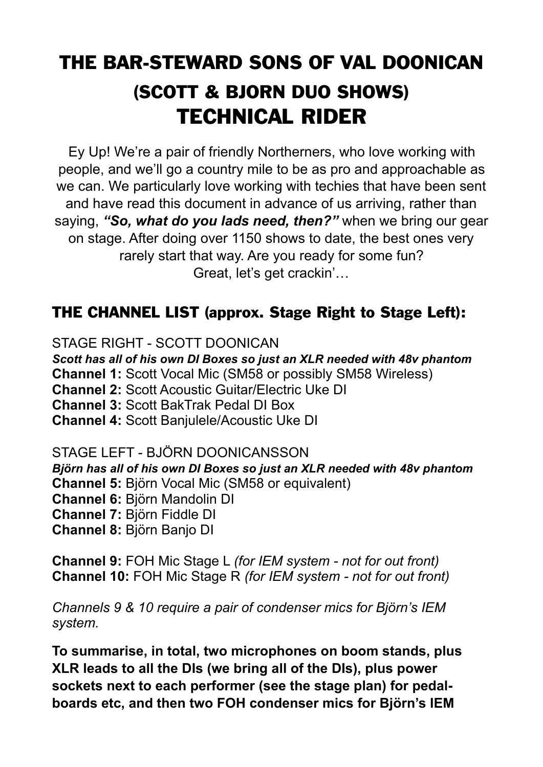# THE BAR-STEWARD SONS OF VAL DOONICAN (SCOTT & BJORN DUO SHOWS) TECHNICAL RIDER

Ey Up! We're a pair of friendly Northerners, who love working with people, and we'll go a country mile to be as pro and approachable as we can. We particularly love working with techies that have been sent and have read this document in advance of us arriving, rather than saying, *"So, what do you lads need, then?"* when we bring our gear on stage. After doing over 1150 shows to date, the best ones very rarely start that way. Are you ready for some fun? Great, let's get crackin'…

## THE CHANNEL LIST (approx. Stage Right to Stage Left):

STAGE RIGHT - SCOTT DOONICAN *Scott has all of his own DI Boxes so just an XLR needed with 48v phantom* **Channel 1:** Scott Vocal Mic (SM58 or possibly SM58 Wireless) **Channel 2:** Scott Acoustic Guitar/Electric Uke DI **Channel 3:** Scott BakTrak Pedal DI Box

**Channel 4:** Scott Banjulele/Acoustic Uke DI

STAGE LEFT - BJÖRN DOONICANSSON *Björn has all of his own DI Boxes so just an XLR needed with 48v phantom* **Channel 5:** Björn Vocal Mic (SM58 or equivalent) **Channel 6:** Björn Mandolin DI **Channel 7:** Björn Fiddle DI **Channel 8:** Björn Banjo DI

**Channel 9:** FOH Mic Stage L *(for IEM system - not for out front)* **Channel 10:** FOH Mic Stage R *(for IEM system - not for out front)*

*Channels 9 & 10 require a pair of condenser mics for Björn's IEM system.* 

**To summarise, in total, two microphones on boom stands, plus XLR leads to all the DIs (we bring all of the DIs), plus power sockets next to each performer (see the stage plan) for pedalboards etc, and then two FOH condenser mics for Björn's IEM**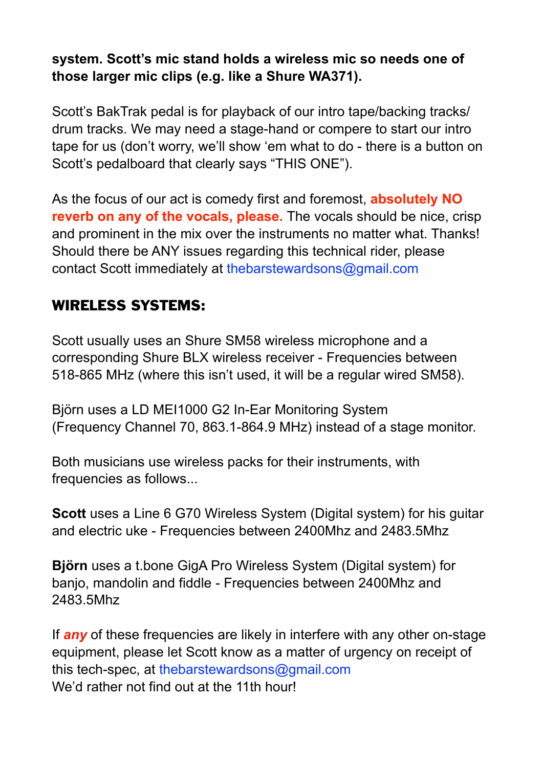#### **system. Scott's mic stand holds a wireless mic so needs one of those larger mic clips (e.g. like a Shure WA371).**

Scott's BakTrak pedal is for playback of our intro tape/backing tracks/ drum tracks. We may need a stage-hand or compere to start our intro tape for us (don't worry, we'll show 'em what to do - there is a button on Scott's pedalboard that clearly says "THIS ONE").

As the focus of our act is comedy first and foremost, **absolutely NO reverb on any of the vocals, please.** The vocals should be nice, crisp and prominent in the mix over the instruments no matter what. Thanks! Should there be ANY issues regarding this technical rider, please contact Scott immediately at thebarstewardsons@gmail.com

## WIRELESS SYSTEMS:

Scott usually uses an Shure SM58 wireless microphone and a corresponding Shure BLX wireless receiver - Frequencies between 518-865 MHz (where this isn't used, it will be a regular wired SM58).

Björn uses a LD MEI1000 G2 In-Ear Monitoring System (Frequency Channel 70, 863.1-864.9 MHz) instead of a stage monitor.

Both musicians use wireless packs for their instruments, with frequencies as follows...

**Scott** uses a Line 6 G70 Wireless System (Digital system) for his quitar and electric uke - Frequencies between 2400Mhz and 2483.5Mhz

**Björn** uses a t.bone GigA Pro Wireless System (Digital system) for banjo, mandolin and fiddle - Frequencies between 2400Mhz and 2483.5Mhz

If *any* of these frequencies are likely in interfere with any other on-stage equipment, please let Scott know as a matter of urgency on receipt of this tech-spec, at thebarstewardsons@gmail.com We'd rather not find out at the 11th hour!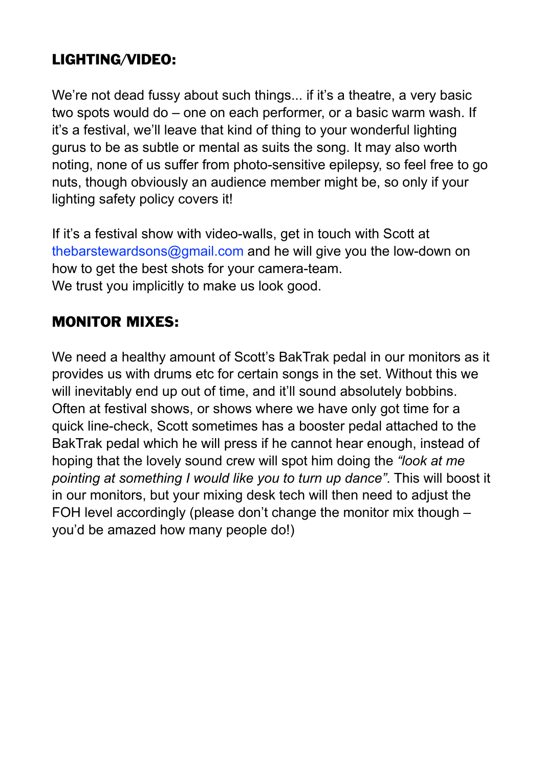## LIGHTING/VIDEO:

We're not dead fussy about such things... if it's a theatre, a very basic two spots would do – one on each performer, or a basic warm wash. If it's a festival, we'll leave that kind of thing to your wonderful lighting gurus to be as subtle or mental as suits the song. It may also worth noting, none of us suffer from photo-sensitive epilepsy, so feel free to go nuts, though obviously an audience member might be, so only if your lighting safety policy covers it!

If it's a festival show with video-walls, get in touch with Scott at [thebarstewardsons@gmail.com](mailto:thebarstewardsons@gmail.com) and he will give you the low-down on how to get the best shots for your camera-team. We trust you implicitly to make us look good.

## MONITOR MIXES:

We need a healthy amount of Scott's BakTrak pedal in our monitors as it provides us with drums etc for certain songs in the set. Without this we will inevitably end up out of time, and it'll sound absolutely bobbins. Often at festival shows, or shows where we have only got time for a quick line-check, Scott sometimes has a booster pedal attached to the BakTrak pedal which he will press if he cannot hear enough, instead of hoping that the lovely sound crew will spot him doing the *"look at me pointing at something I would like you to turn up dance"*. This will boost it in our monitors, but your mixing desk tech will then need to adjust the FOH level accordingly (please don't change the monitor mix though – you'd be amazed how many people do!)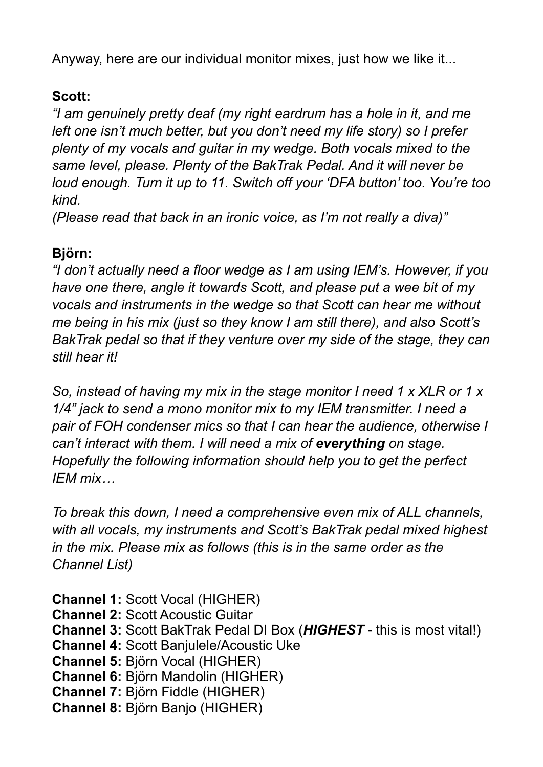Anyway, here are our individual monitor mixes, just how we like it...

#### **Scott:**

*"I am genuinely pretty deaf (my right eardrum has a hole in it, and me left one isn't much better, but you don't need my life story) so I prefer plenty of my vocals and guitar in my wedge. Both vocals mixed to the same level, please. Plenty of the BakTrak Pedal. And it will never be loud enough. Turn it up to 11. Switch off your 'DFA button' too. You're too kind.* 

*(Please read that back in an ironic voice, as I'm not really a diva)"* 

#### **Björn:**

*"I don't actually need a floor wedge as I am using IEM's. However, if you have one there, angle it towards Scott, and please put a wee bit of my vocals and instruments in the wedge so that Scott can hear me without me being in his mix (just so they know I am still there), and also Scott's BakTrak pedal so that if they venture over my side of the stage, they can still hear it!* 

*So, instead of having my mix in the stage monitor I need 1 x XLR or 1 x 1/4" jack to send a mono monitor mix to my IEM transmitter. I need a pair of FOH condenser mics so that I can hear the audience, otherwise I can't interact with them. I will need a mix of everything on stage. Hopefully the following information should help you to get the perfect IEM mix…* 

*To break this down, I need a comprehensive even mix of ALL channels, with all vocals, my instruments and Scott's BakTrak pedal mixed highest in the mix. Please mix as follows (this is in the same order as the Channel List)* 

**Channel 1:** Scott Vocal (HIGHER) **Channel 2:** Scott Acoustic Guitar **Channel 3:** Scott BakTrak Pedal DI Box (*HIGHEST* - this is most vital!) **Channel 4:** Scott Banjulele/Acoustic Uke **Channel 5:** Björn Vocal (HIGHER) **Channel 6:** Björn Mandolin (HIGHER) **Channel 7:** Björn Fiddle (HIGHER) **Channel 8:** Björn Banjo (HIGHER)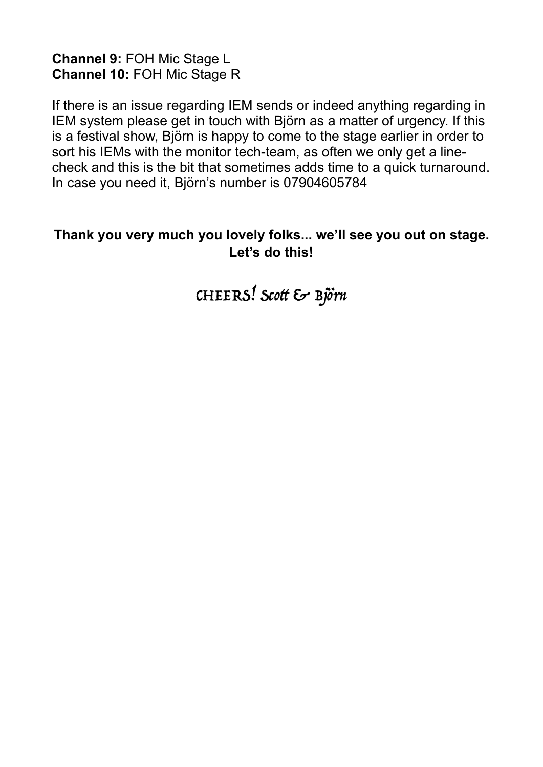**Channel 9:** FOH Mic Stage L **Channel 10:** FOH Mic Stage R

If there is an issue regarding IEM sends or indeed anything regarding in IEM system please get in touch with Björn as a matter of urgency. If this is a festival show, Björn is happy to come to the stage earlier in order to sort his IEMs with the monitor tech-team, as often we only get a linecheck and this is the bit that sometimes adds time to a quick turnaround. In case you need it, Björn's number is 07904605784

#### **Thank you very much you lovely folks... we'll see you out on stage. Let's do this!**

CHEERS! Scott & Björn